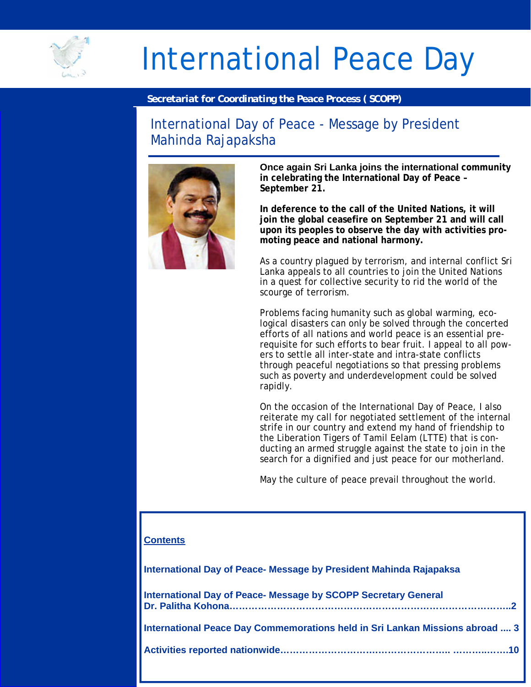

# International Peace Day

## *Secretariat for Coordinating the Peace Process ( SCOPP)*

# International Day of Peace - Message by President Mahinda Rajapaksha



**Once again Sri Lanka joins the international community in celebrating the International Day of Peace – September 21.** 

**In deference to the call of the United Nations, it will join the global ceasefire on September 21 and will call upon its peoples to observe the day with activities promoting peace and national harmony.** 

As a country plagued by terrorism, and internal conflict Sri Lanka appeals to all countries to join the United Nations in a quest for collective security to rid the world of the scourge of terrorism.

Problems facing humanity such as global warming, ecological disasters can only be solved through the concerted efforts of all nations and world peace is an essential prerequisite for such efforts to bear fruit. I appeal to all powers to settle all inter-state and intra-state conflicts through peaceful negotiations so that pressing problems such as poverty and underdevelopment could be solved rapidly.

On the occasion of the International Day of Peace, I also reiterate my call for negotiated settlement of the internal strife in our country and extend my hand of friendship to the Liberation Tigers of Tamil Eelam (LTTE) that is conducting an armed struggle against the state to join in the search for a dignified and just peace for our motherland.

May the culture of peace prevail throughout the world.

# **Contents**

**International Day of Peace- Message by President Mahinda Rajapaksa** 

| <b>International Day of Peace- Message by SCOPP Secretary General</b>        |
|------------------------------------------------------------------------------|
| International Peace Day Commemorations held in Sri Lankan Missions abroad  3 |
|                                                                              |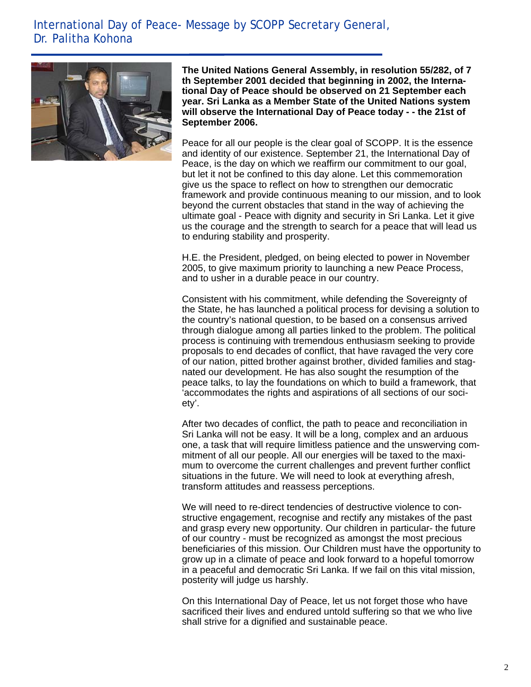# International Day of Peace- Message by SCOPP Secretary General, Dr. Palitha Kohona



l.

**The United Nations General Assembly, in resolution 55/282, of 7 th September 2001 decided that beginning in 2002, the International Day of Peace should be observed on 21 September each year. Sri Lanka as a Member State of the United Nations system will observe the International Day of Peace today - - the 21st of September 2006.** 

Peace for all our people is the clear goal of SCOPP. It is the essence and identity of our existence. September 21, the International Day of Peace, is the day on which we reaffirm our commitment to our goal, but let it not be confined to this day alone. Let this commemoration give us the space to reflect on how to strengthen our democratic framework and provide continuous meaning to our mission, and to look beyond the current obstacles that stand in the way of achieving the ultimate goal - Peace with dignity and security in Sri Lanka. Let it give us the courage and the strength to search for a peace that will lead us to enduring stability and prosperity.

H.E. the President, pledged, on being elected to power in November 2005, to give maximum priority to launching a new Peace Process, and to usher in a durable peace in our country.

Consistent with his commitment, while defending the Sovereignty of the State, he has launched a political process for devising a solution to the country's national question, to be based on a consensus arrived through dialogue among all parties linked to the problem. The political process is continuing with tremendous enthusiasm seeking to provide proposals to end decades of conflict, that have ravaged the very core of our nation, pitted brother against brother, divided families and stagnated our development. He has also sought the resumption of the peace talks, to lay the foundations on which to build a framework, that 'accommodates the rights and aspirations of all sections of our society'.

After two decades of conflict, the path to peace and reconciliation in Sri Lanka will not be easy. It will be a long, complex and an arduous one, a task that will require limitless patience and the unswerving commitment of all our people. All our energies will be taxed to the maximum to overcome the current challenges and prevent further conflict situations in the future. We will need to look at everything afresh, transform attitudes and reassess perceptions.

We will need to re-direct tendencies of destructive violence to constructive engagement, recognise and rectify any mistakes of the past and grasp every new opportunity. Our children in particular- the future of our country - must be recognized as amongst the most precious beneficiaries of this mission. Our Children must have the opportunity to grow up in a climate of peace and look forward to a hopeful tomorrow in a peaceful and democratic Sri Lanka. If we fail on this vital mission, posterity will judge us harshly.

On this International Day of Peace, let us not forget those who have sacrificed their lives and endured untold suffering so that we who live shall strive for a dignified and sustainable peace.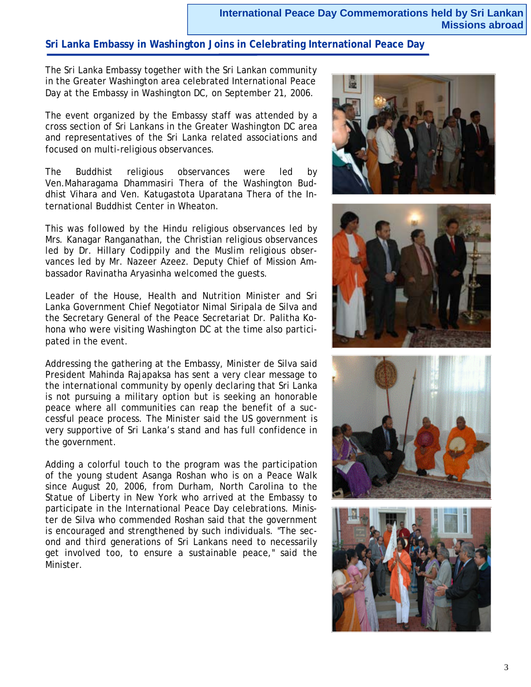## **International Peace Day Commemorations held by Sri Lankan Missions abroad**

# **Sri Lanka Embassy in Washington Joins in Celebrating International Peace Day**

The Sri Lanka Embassy together with the Sri Lankan community in the Greater Washington area celebrated International Peace Day at the Embassy in Washington DC, on September 21, 2006.

The event organized by the Embassy staff was attended by a cross section of Sri Lankans in the Greater Washington DC area and representatives of the Sri Lanka related associations and focused on multi-religious observances.

The Buddhist religious observances were led by Ven.Maharagama Dhammasiri Thera of the Washington Buddhist Vihara and Ven. Katugastota Uparatana Thera of the International Buddhist Center in Wheaton.

This was followed by the Hindu religious observances led by Mrs. Kanagar Ranganathan, the Christian religious observances led by Dr. Hillary Codippily and the Muslim religious observances led by Mr. Nazeer Azeez. Deputy Chief of Mission Ambassador Ravinatha Aryasinha welcomed the guests.

Leader of the House, Health and Nutrition Minister and Sri Lanka Government Chief Negotiator Nimal Siripala de Silva and the Secretary General of the Peace Secretariat Dr. Palitha Kohona who were visiting Washington DC at the time also participated in the event.

Addressing the gathering at the Embassy, Minister de Silva said President Mahinda Rajapaksa has sent a very clear message to the international community by openly declaring that Sri Lanka is not pursuing a military option but is seeking an honorable peace where all communities can reap the benefit of a successful peace process. The Minister said the US government is very supportive of Sri Lanka's stand and has full confidence in the government.

Adding a colorful touch to the program was the participation of the young student Asanga Roshan who is on a Peace Walk since August 20, 2006, from Durham, North Carolina to the Statue of Liberty in New York who arrived at the Embassy to participate in the International Peace Day celebrations. Minister de Silva who commended Roshan said that the government is encouraged and strengthened by such individuals. "The second and third generations of Sri Lankans need to necessarily get involved too, to ensure a sustainable peace," said the Minister.







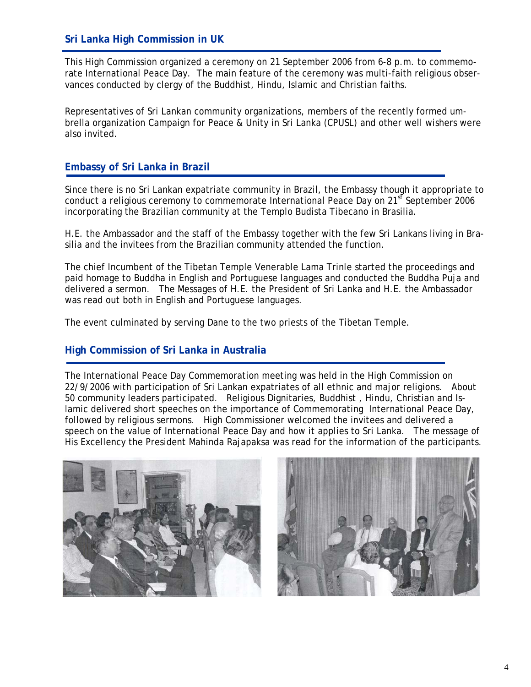# **Sri Lanka High Commission in UK**

i<br>I

This High Commission organized a ceremony on 21 September 2006 from 6-8 p.m. to commemorate International Peace Day. The main feature of the ceremony was multi-faith religious observances conducted by clergy of the Buddhist, Hindu, Islamic and Christian faiths.

Representatives of Sri Lankan community organizations, members of the recently formed umbrella organization Campaign for Peace & Unity in Sri Lanka (CPUSL) and other well wishers were also invited.

#### **Embassy of Sri Lanka in Brazil**

Since there is no Sri Lankan expatriate community in Brazil, the Embassy though it appropriate to conduct a religious ceremony to commemorate International Peace Day on 21<sup>st</sup> September 2006 incorporating the Brazilian community at the Templo Budista Tibecano in Brasilia.

H.E. the Ambassador and the staff of the Embassy together with the few Sri Lankans living in Brasilia and the invitees from the Brazilian community attended the function.

The chief Incumbent of the Tibetan Temple Venerable Lama Trinle started the proceedings and paid homage to Buddha in English and Portuguese languages and conducted the Buddha Puja and delivered a sermon. The Messages of H.E. the President of Sri Lanka and H.E. the Ambassador was read out both in English and Portuguese languages.

The event culminated by serving Dane to the two priests of the Tibetan Temple.

#### **High Commission of Sri Lanka in Australia**

The International Peace Day Commemoration meeting was held in the High Commission on 22/9/2006 with participation of Sri Lankan expatriates of all ethnic and major religions. About 50 community leaders participated. Religious Dignitaries, Buddhist , Hindu, Christian and Islamic delivered short speeches on the importance of Commemorating International Peace Day, followed by religious sermons. High Commissioner welcomed the invitees and delivered a speech on the value of International Peace Day and how it applies to Sri Lanka. The message of His Excellency the President Mahinda Rajapaksa was read for the information of the participants.



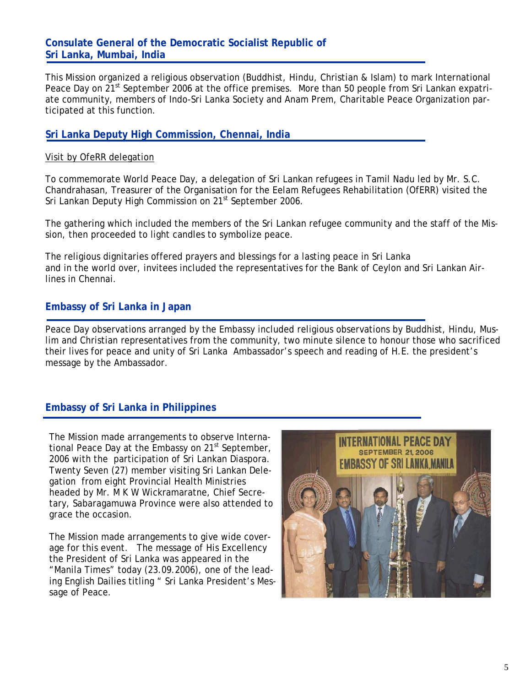# **Consulate General of the Democratic Socialist Republic of Sri Lanka, Mumbai, India**

This Mission organized a religious observation (Buddhist, Hindu, Christian & Islam) to mark International Peace Day on 21<sup>st</sup> September 2006 at the office premises. More than 50 people from Sri Lankan expatriate community, members of Indo-Sri Lanka Society and Anam Prem, Charitable Peace Organization participated at this function.

# **Sri Lanka Deputy High Commission, Chennai, India**

#### Visit by OfeRR delegation

To commemorate World Peace Day, a delegation of Sri Lankan refugees in Tamil Nadu led by Mr. S.C. Chandrahasan, Treasurer of the Organisation for the Eelam Refugees Rehabilitation (OfERR) visited the Sri Lankan Deputy High Commission on 21<sup>st</sup> September 2006.

The gathering which included the members of the Sri Lankan refugee community and the staff of the Mission, then proceeded to light candles to symbolize peace.

The religious dignitaries offered prayers and blessings for a lasting peace in Sri Lanka and in the world over, invitees included the representatives for the Bank of Ceylon and Sri Lankan Airlines in Chennai.

# **Embassy of Sri Lanka in Japan**

Peace Day observations arranged by the Embassy included religious observations by Buddhist, Hindu, Muslim and Christian representatives from the community, two minute silence to honour those who sacrificed their lives for peace and unity of Sri Lanka Ambassador's speech and reading of H.E. the president's message by the Ambassador.

# **Embassy of Sri Lanka in Philippines**

The Mission made arrangements to observe International Peace Day at the Embassy on  $21<sup>st</sup>$  September, 2006 with the participation of Sri Lankan Diaspora. Twenty Seven (27) member visiting Sri Lankan Delegation from eight Provincial Health Ministries headed by Mr. M K W Wickramaratne, Chief Secretary, Sabaragamuwa Province were also attended to grace the occasion.

The Mission made arrangements to give wide coverage for this event. The message of His Excellency the President of Sri Lanka was appeared in the "Manila Times" today (23.09.2006), one of the leading English Dailies titling " Sri Lanka President's Message of Peace.

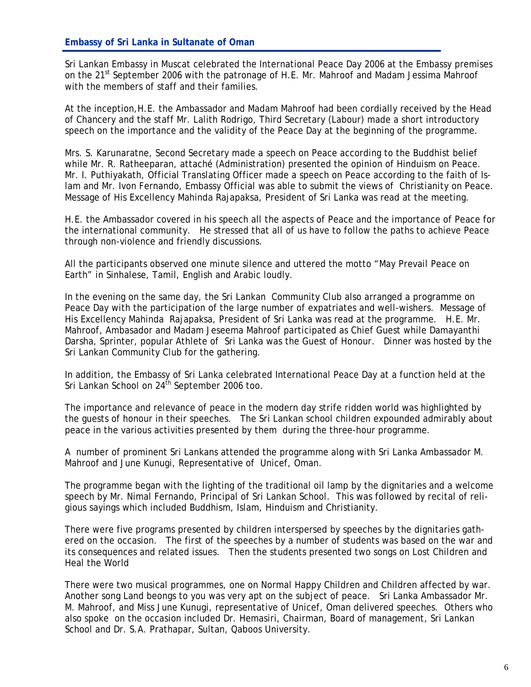Sri Lankan Embassy in Muscat celebrated the International Peace Day 2006 at the Embassy premises on the 21<sup>st</sup> September 2006 with the patronage of H.E. Mr. Mahroof and Madam Jessima Mahroof with the members of staff and their families.

At the inception,H.E. the Ambassador and Madam Mahroof had been cordially received by the Head of Chancery and the staff Mr. Lalith Rodrigo, Third Secretary (Labour) made a short introductory speech on the importance and the validity of the Peace Day at the beginning of the programme.

Mrs. S. Karunaratne, Second Secretary made a speech on Peace according to the Buddhist belief while Mr. R. Ratheeparan, attaché (Administration) presented the opinion of Hinduism on Peace. Mr. I. Puthiyakath, Official Translating Officer made a speech on Peace according to the faith of Islam and Mr. Ivon Fernando, Embassy Official was able to submit the views of Christianity on Peace. Message of His Excellency Mahinda Rajapaksa, President of Sri Lanka was read at the meeting.

H.E. the Ambassador covered in his speech all the aspects of Peace and the importance of Peace for the international community. He stressed that all of us have to follow the paths to achieve Peace through non-violence and friendly discussions.

All the participants observed one minute silence and uttered the motto "May Prevail Peace on Earth" in Sinhalese, Tamil, English and Arabic loudly.

In the evening on the same day, the Sri Lankan Community Club also arranged a programme on Peace Day with the participation of the large number of expatriates and well-wishers. Message of His Excellency Mahinda Rajapaksa, President of Sri Lanka was read at the programme. H.E. Mr. Mahroof, Ambasador and Madam Jeseema Mahroof participated as Chief Guest while Damayanthi Darsha, Sprinter, popular Athlete of Sri Lanka was the Guest of Honour. Dinner was hosted by the Sri Lankan Community Club for the gathering.

In addition, the Embassy of Sri Lanka celebrated International Peace Day at a function held at the Sri Lankan School on  $24^{th}$  September 2006 too.

The importance and relevance of peace in the modern day strife ridden world was highlighted by the guests of honour in their speeches. The Sri Lankan school children expounded admirably about peace in the various activities presented by them during the three-hour programme.

A number of prominent Sri Lankans attended the programme along with Sri Lanka Ambassador M. Mahroof and June Kunugi, Representative of Unicef, Oman.

The programme began with the lighting of the traditional oil lamp by the dignitaries and a welcome speech by Mr. Nimal Fernando, Principal of Sri Lankan School. This was followed by recital of religious sayings which included Buddhism, Islam, Hinduism and Christianity.

There were five programs presented by children interspersed by speeches by the dignitaries gathered on the occasion. The first of the speeches by a number of students was based on the war and its consequences and related issues. Then the students presented two songs on Lost Children and Heal the World

There were two musical programmes, one on Normal Happy Children and Children affected by war. Another song Land beongs to you was very apt on the subject of peace. Sri Lanka Ambassador Mr. M. Mahroof, and Miss June Kunugi, representative of Unicef, Oman delivered speeches. Others who also spoke on the occasion included Dr. Hemasiri, Chairman, Board of management, Sri Lankan School and Dr. S.A. Prathapar, Sultan, Qaboos University.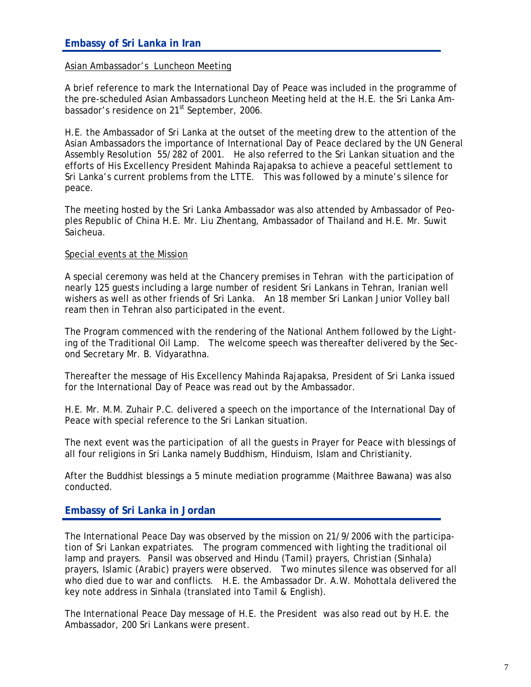#### Asian Ambassador's Luncheon Meeting

A brief reference to mark the International Day of Peace was included in the programme of the pre-scheduled Asian Ambassadors Luncheon Meeting held at the H.E. the Sri Lanka Ambassador's residence on 21<sup>st</sup> September, 2006.

H.E. the Ambassador of Sri Lanka at the outset of the meeting drew to the attention of the Asian Ambassadors the importance of International Day of Peace declared by the UN General Assembly Resolution 55/282 of 2001. He also referred to the Sri Lankan situation and the efforts of His Excellency President Mahinda Rajapaksa to achieve a peaceful settlement to Sri Lanka's current problems from the LTTE. This was followed by a minute's silence for peace.

The meeting hosted by the Sri Lanka Ambassador was also attended by Ambassador of Peoples Republic of China H.E. Mr. Liu Zhentang, Ambassador of Thailand and H.E. Mr. Suwit Saicheua.

#### Special events at the Mission

A special ceremony was held at the Chancery premises in Tehran with the participation of nearly 125 guests including a large number of resident Sri Lankans in Tehran, Iranian well wishers as well as other friends of Sri Lanka. An 18 member Sri Lankan Junior Volley ball ream then in Tehran also participated in the event.

The Program commenced with the rendering of the National Anthem followed by the Lighting of the Traditional Oil Lamp. The welcome speech was thereafter delivered by the Second Secretary Mr. B. Vidyarathna.

Thereafter the message of His Excellency Mahinda Rajapaksa, President of Sri Lanka issued for the International Day of Peace was read out by the Ambassador.

H.E. Mr. M.M. Zuhair P.C. delivered a speech on the importance of the International Day of Peace with special reference to the Sri Lankan situation.

The next event was the participation of all the guests in Prayer for Peace with blessings of all four religions in Sri Lanka namely Buddhism, Hinduism, Islam and Christianity.

After the Buddhist blessings a 5 minute mediation programme (Maithree Bawana) was also conducted.

#### **Embassy of Sri Lanka in Jordan**

The International Peace Day was observed by the mission on 21/9/2006 with the participation of Sri Lankan expatriates. The program commenced with lighting the traditional oil lamp and prayers. Pansil was observed and Hindu (Tamil) prayers, Christian (Sinhala) prayers, Islamic (Arabic) prayers were observed. Two minutes silence was observed for all who died due to war and conflicts. H.E. the Ambassador Dr. A.W. Mohottala delivered the key note address in Sinhala (translated into Tamil & English).

The International Peace Day message of H.E. the President was also read out by H.E. the Ambassador, 200 Sri Lankans were present.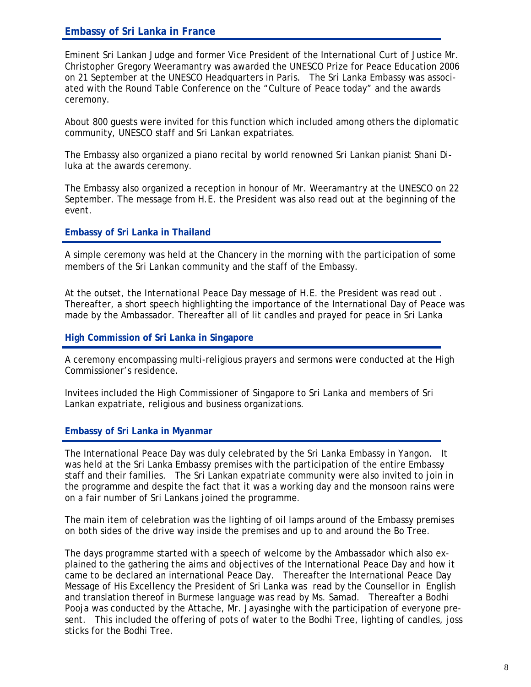# **Embassy of Sri Lanka in France**

 Eminent Sri Lankan Judge and former Vice President of the International Curt of Justice Mr. Christopher Gregory Weeramantry was awarded the UNESCO Prize for Peace Education 2006 on 21 September at the UNESCO Headquarters in Paris. The Sri Lanka Embassy was associated with the Round Table Conference on the "Culture of Peace today" and the awards ceremony.

About 800 guests were invited for this function which included among others the diplomatic community, UNESCO staff and Sri Lankan expatriates.

The Embassy also organized a piano recital by world renowned Sri Lankan pianist Shani Diluka at the awards ceremony.

The Embassy also organized a reception in honour of Mr. Weeramantry at the UNESCO on 22 September. The message from H.E. the President was also read out at the beginning of the event.

#### **Embassy of Sri Lanka in Thailand**

A simple ceremony was held at the Chancery in the morning with the participation of some members of the Sri Lankan community and the staff of the Embassy.

At the outset, the International Peace Day message of H.E. the President was read out . Thereafter, a short speech highlighting the importance of the International Day of Peace was made by the Ambassador. Thereafter all of lit candles and prayed for peace in Sri Lanka

#### **High Commission of Sri Lanka in Singapore**

A ceremony encompassing multi-religious prayers and sermons were conducted at the High Commissioner's residence.

Invitees included the High Commissioner of Singapore to Sri Lanka and members of Sri Lankan expatriate, religious and business organizations.

#### **Embassy of Sri Lanka in Myanmar**

The International Peace Day was duly celebrated by the Sri Lanka Embassy in Yangon. It was held at the Sri Lanka Embassy premises with the participation of the entire Embassy staff and their families. The Sri Lankan expatriate community were also invited to join in the programme and despite the fact that it was a working day and the monsoon rains were on a fair number of Sri Lankans joined the programme.

The main item of celebration was the lighting of oil lamps around of the Embassy premises on both sides of the drive way inside the premises and up to and around the Bo Tree.

The days programme started with a speech of welcome by the Ambassador which also explained to the gathering the aims and objectives of the International Peace Day and how it came to be declared an international Peace Day. Thereafter the International Peace Day Message of His Excellency the President of Sri Lanka was read by the Counsellor in English and translation thereof in Burmese language was read by Ms. Samad. Thereafter a Bodhi Pooja was conducted by the Attache, Mr. Jayasinghe with the participation of everyone present. This included the offering of pots of water to the Bodhi Tree, lighting of candles, joss sticks for the Bodhi Tree.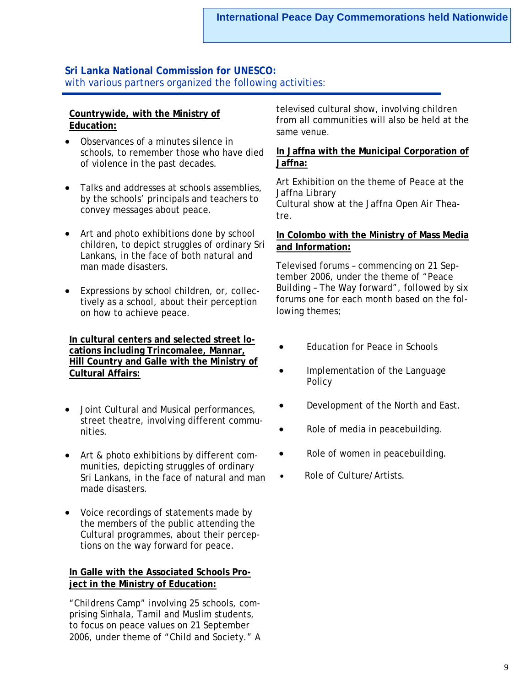## **Sri Lanka National Commission for UNESCO:**  with various partners organized the following activities:

## **Countrywide, with the Ministry of Education:**

- Observances of a minutes silence in schools, to remember those who have died of violence in the past decades.
- Talks and addresses at schools assemblies, by the schools' principals and teachers to convey messages about peace.
- Art and photo exhibitions done by school children, to depict struggles of ordinary Sri Lankans, in the face of both natural and man made disasters.
- Expressions by school children, or, collectively as a school, about their perception on how to achieve peace.

**In cultural centers and selected street locations including Trincomalee, Mannar, Hill Country and Galle with the Ministry of Cultural Affairs:**

- Joint Cultural and Musical performances, street theatre, involving different communities.
- Art & photo exhibitions by different communities, depicting struggles of ordinary Sri Lankans, in the face of natural and man made disasters.
- Voice recordings of statements made by the members of the public attending the Cultural programmes, about their perceptions on the way forward for peace.

# **In Galle with the Associated Schools Project in the Ministry of Education:**

"Childrens Camp" involving 25 schools, comprising Sinhala, Tamil and Muslim students, to focus on peace values on 21 September 2006, under theme of "Child and Society." A televised cultural show, involving children from all communities will also be held at the same venue.

# **In Jaffna with the Municipal Corporation of Jaffna:**

Art Exhibition on the theme of Peace at the Jaffna Library Cultural show at the Jaffna Open Air Theatre.

#### **In Colombo with the Ministry of Mass Media and Information:**

Televised forums – commencing on 21 September 2006, under the theme of "Peace Building – The Way forward", followed by six forums one for each month based on the following themes;

- Education for Peace in Schools
- Implementation of the Language Policy
- Development of the North and East.
- Role of media in peacebuilding.
- Role of women in peacebuilding.
- Role of Culture/Artists.